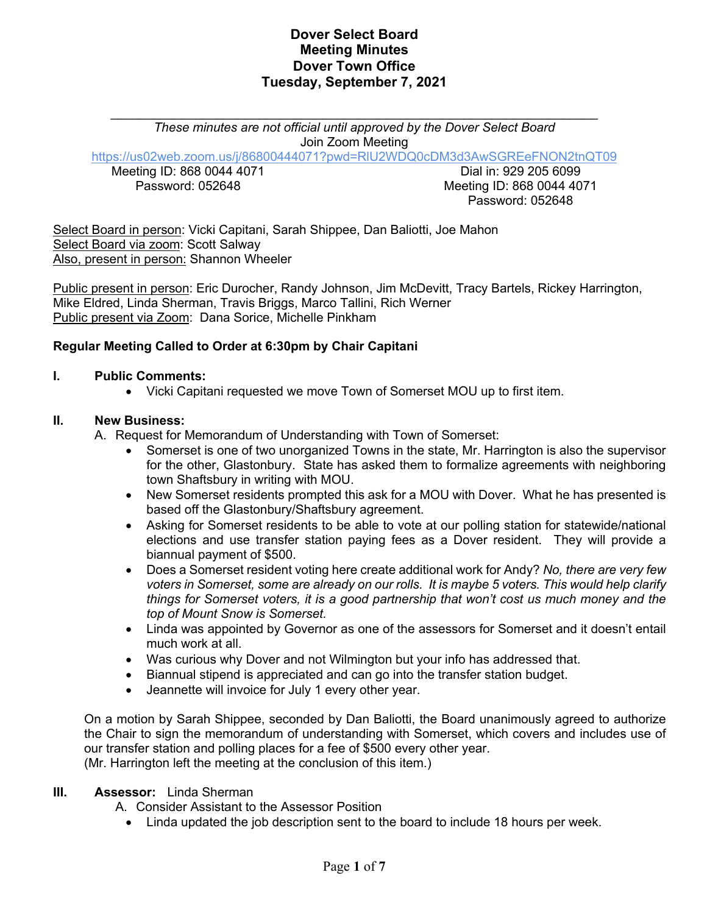*These minutes are not official until approved by the Dover Select Board* Join Zoom Meeting

https://us02web.zoom.us/j/86800444071?pwd=RlU2WDQ0cDM3d3AwSGREeFNON2tnQT09

Meeting ID: 868 0044 4071 Password: 052648

Dial in: 929 205 6099 Meeting ID: 868 0044 4071 Password: 052648

Select Board in person: Vicki Capitani, Sarah Shippee, Dan Baliotti, Joe Mahon Select Board via zoom: Scott Salway Also, present in person: Shannon Wheeler

Public present in person: Eric Durocher, Randy Johnson, Jim McDevitt, Tracy Bartels, Rickey Harrington, Mike Eldred, Linda Sherman, Travis Briggs, Marco Tallini, Rich Werner Public present via Zoom: Dana Sorice, Michelle Pinkham

### **Regular Meeting Called to Order at 6:30pm by Chair Capitani**

### **I. Public Comments:**

• Vicki Capitani requested we move Town of Somerset MOU up to first item.

### **II. New Business:**

A. Request for Memorandum of Understanding with Town of Somerset:

- Somerset is one of two unorganized Towns in the state, Mr. Harrington is also the supervisor for the other, Glastonbury. State has asked them to formalize agreements with neighboring town Shaftsbury in writing with MOU.
- New Somerset residents prompted this ask for a MOU with Dover. What he has presented is based off the Glastonbury/Shaftsbury agreement.
- Asking for Somerset residents to be able to vote at our polling station for statewide/national elections and use transfer station paying fees as a Dover resident. They will provide a biannual payment of \$500.
- Does a Somerset resident voting here create additional work for Andy? *No, there are very few voters in Somerset, some are already on our rolls. It is maybe 5 voters. This would help clarify things for Somerset voters, it is a good partnership that won't cost us much money and the top of Mount Snow is Somerset.*
- Linda was appointed by Governor as one of the assessors for Somerset and it doesn't entail much work at all.
- Was curious why Dover and not Wilmington but your info has addressed that.
- Biannual stipend is appreciated and can go into the transfer station budget.
- Jeannette will invoice for July 1 every other year.

On a motion by Sarah Shippee, seconded by Dan Baliotti, the Board unanimously agreed to authorize the Chair to sign the memorandum of understanding with Somerset, which covers and includes use of our transfer station and polling places for a fee of \$500 every other year. (Mr. Harrington left the meeting at the conclusion of this item.)

#### **III. Assessor:** Linda Sherman

A. Consider Assistant to the Assessor Position

• Linda updated the job description sent to the board to include 18 hours per week.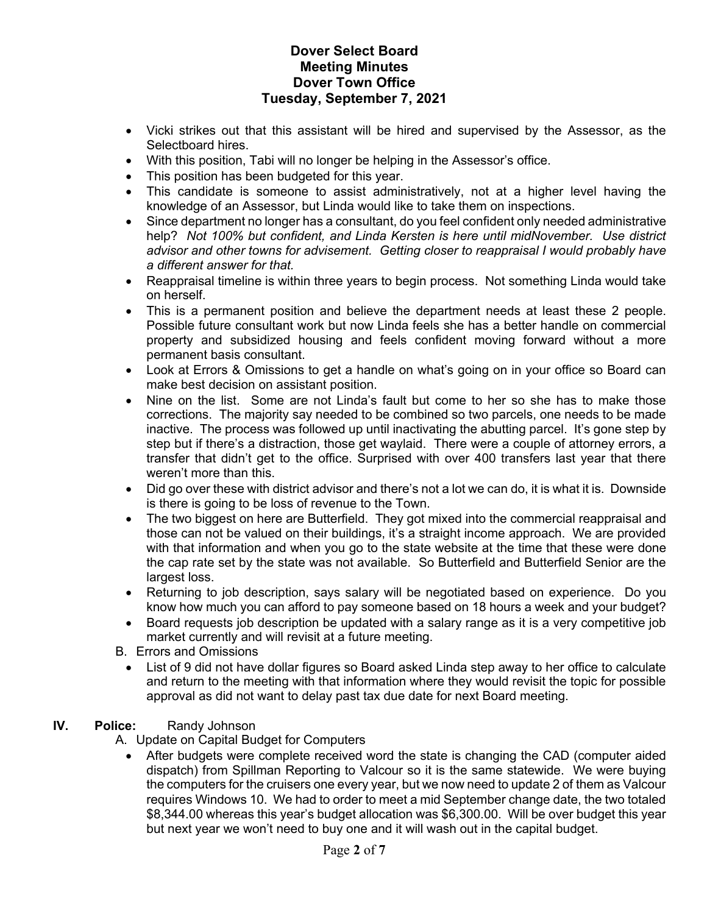- Vicki strikes out that this assistant will be hired and supervised by the Assessor, as the Selectboard hires.
- With this position, Tabi will no longer be helping in the Assessor's office.
- This position has been budgeted for this year.
- This candidate is someone to assist administratively, not at a higher level having the knowledge of an Assessor, but Linda would like to take them on inspections.
- Since department no longer has a consultant, do you feel confident only needed administrative help? *Not 100% but confident, and Linda Kersten is here until midNovember. Use district advisor and other towns for advisement. Getting closer to reappraisal I would probably have a different answer for that.*
- Reappraisal timeline is within three years to begin process. Not something Linda would take on herself.
- This is a permanent position and believe the department needs at least these 2 people. Possible future consultant work but now Linda feels she has a better handle on commercial property and subsidized housing and feels confident moving forward without a more permanent basis consultant.
- Look at Errors & Omissions to get a handle on what's going on in your office so Board can make best decision on assistant position.
- Nine on the list. Some are not Linda's fault but come to her so she has to make those corrections. The majority say needed to be combined so two parcels, one needs to be made inactive. The process was followed up until inactivating the abutting parcel. It's gone step by step but if there's a distraction, those get waylaid. There were a couple of attorney errors, a transfer that didn't get to the office. Surprised with over 400 transfers last year that there weren't more than this.
- Did go over these with district advisor and there's not a lot we can do, it is what it is. Downside is there is going to be loss of revenue to the Town.
- The two biggest on here are Butterfield. They got mixed into the commercial reappraisal and those can not be valued on their buildings, it's a straight income approach. We are provided with that information and when you go to the state website at the time that these were done the cap rate set by the state was not available. So Butterfield and Butterfield Senior are the largest loss.
- Returning to job description, says salary will be negotiated based on experience. Do you know how much you can afford to pay someone based on 18 hours a week and your budget?
- Board requests job description be updated with a salary range as it is a very competitive job market currently and will revisit at a future meeting.
- B. Errors and Omissions
	- List of 9 did not have dollar figures so Board asked Linda step away to her office to calculate and return to the meeting with that information where they would revisit the topic for possible approval as did not want to delay past tax due date for next Board meeting.

### **IV. Police:** Randy Johnson

A. Update on Capital Budget for Computers

• After budgets were complete received word the state is changing the CAD (computer aided dispatch) from Spillman Reporting to Valcour so it is the same statewide. We were buying the computers for the cruisers one every year, but we now need to update 2 of them as Valcour requires Windows 10. We had to order to meet a mid September change date, the two totaled \$8,344.00 whereas this year's budget allocation was \$6,300.00. Will be over budget this year but next year we won't need to buy one and it will wash out in the capital budget.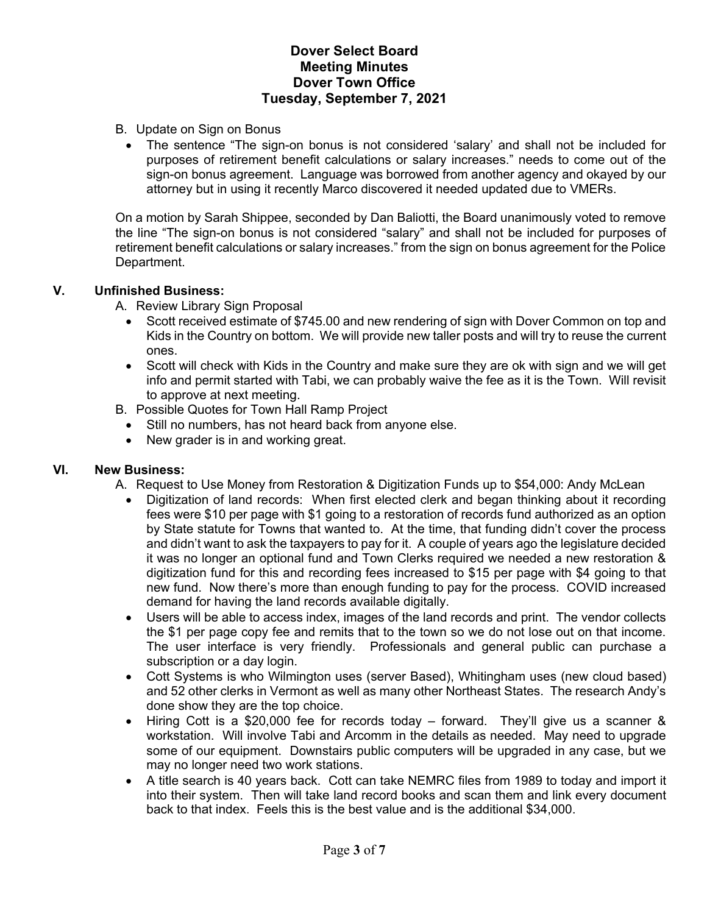- B. Update on Sign on Bonus
	- The sentence "The sign-on bonus is not considered 'salary' and shall not be included for purposes of retirement benefit calculations or salary increases." needs to come out of the sign-on bonus agreement. Language was borrowed from another agency and okayed by our attorney but in using it recently Marco discovered it needed updated due to VMERs.

On a motion by Sarah Shippee, seconded by Dan Baliotti, the Board unanimously voted to remove the line "The sign-on bonus is not considered "salary" and shall not be included for purposes of retirement benefit calculations or salary increases." from the sign on bonus agreement for the Police Department.

### **V. Unfinished Business:**

A. Review Library Sign Proposal

- Scott received estimate of \$745.00 and new rendering of sign with Dover Common on top and Kids in the Country on bottom. We will provide new taller posts and will try to reuse the current ones.
- Scott will check with Kids in the Country and make sure they are ok with sign and we will get info and permit started with Tabi, we can probably waive the fee as it is the Town. Will revisit to approve at next meeting.
- B. Possible Quotes for Town Hall Ramp Project
	- Still no numbers, has not heard back from anyone else.
	- New grader is in and working great.

### **VI. New Business:**

- A. Request to Use Money from Restoration & Digitization Funds up to \$54,000: Andy McLean
	- Digitization of land records: When first elected clerk and began thinking about it recording fees were \$10 per page with \$1 going to a restoration of records fund authorized as an option by State statute for Towns that wanted to. At the time, that funding didn't cover the process and didn't want to ask the taxpayers to pay for it. A couple of years ago the legislature decided it was no longer an optional fund and Town Clerks required we needed a new restoration & digitization fund for this and recording fees increased to \$15 per page with \$4 going to that new fund. Now there's more than enough funding to pay for the process. COVID increased demand for having the land records available digitally.
	- Users will be able to access index, images of the land records and print. The vendor collects the \$1 per page copy fee and remits that to the town so we do not lose out on that income. The user interface is very friendly. Professionals and general public can purchase a subscription or a day login.
	- Cott Systems is who Wilmington uses (server Based), Whitingham uses (new cloud based) and 52 other clerks in Vermont as well as many other Northeast States. The research Andy's done show they are the top choice.
	- Hiring Cott is a \$20,000 fee for records today forward. They'll give us a scanner & workstation. Will involve Tabi and Arcomm in the details as needed. May need to upgrade some of our equipment. Downstairs public computers will be upgraded in any case, but we may no longer need two work stations.
	- A title search is 40 years back. Cott can take NEMRC files from 1989 to today and import it into their system. Then will take land record books and scan them and link every document back to that index. Feels this is the best value and is the additional \$34,000.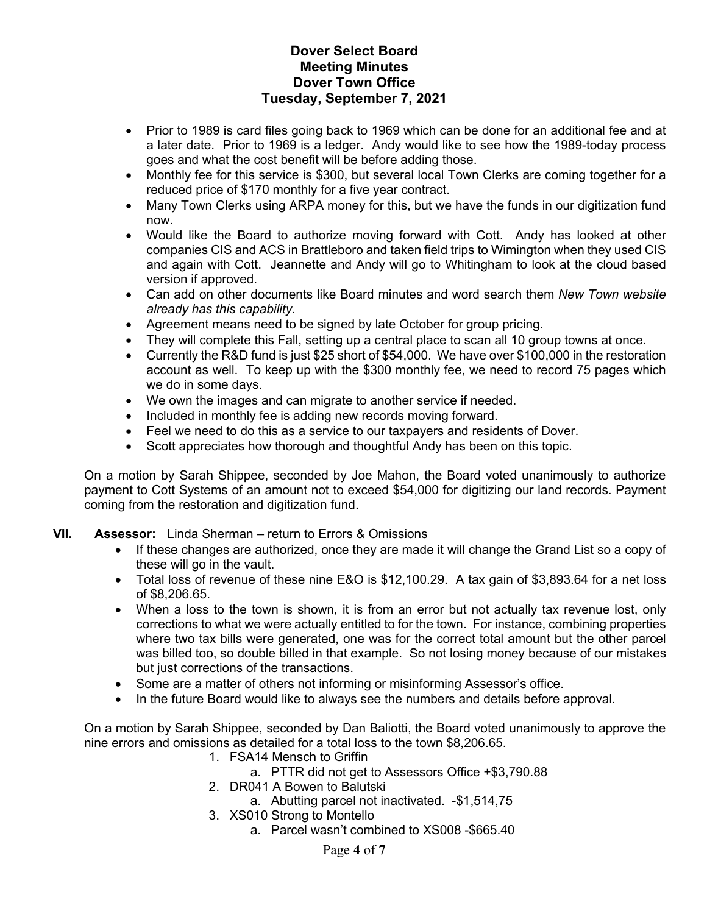- Prior to 1989 is card files going back to 1969 which can be done for an additional fee and at a later date. Prior to 1969 is a ledger. Andy would like to see how the 1989-today process goes and what the cost benefit will be before adding those.
- Monthly fee for this service is \$300, but several local Town Clerks are coming together for a reduced price of \$170 monthly for a five year contract.
- Many Town Clerks using ARPA money for this, but we have the funds in our digitization fund now.
- Would like the Board to authorize moving forward with Cott. Andy has looked at other companies CIS and ACS in Brattleboro and taken field trips to Wimington when they used CIS and again with Cott. Jeannette and Andy will go to Whitingham to look at the cloud based version if approved.
- Can add on other documents like Board minutes and word search them *New Town website already has this capability.*
- Agreement means need to be signed by late October for group pricing.
- They will complete this Fall, setting up a central place to scan all 10 group towns at once.
- Currently the R&D fund is just \$25 short of \$54,000. We have over \$100,000 in the restoration account as well. To keep up with the \$300 monthly fee, we need to record 75 pages which we do in some days.
- We own the images and can migrate to another service if needed.
- Included in monthly fee is adding new records moving forward.
- Feel we need to do this as a service to our taxpayers and residents of Dover.
- Scott appreciates how thorough and thoughtful Andy has been on this topic.

On a motion by Sarah Shippee, seconded by Joe Mahon, the Board voted unanimously to authorize payment to Cott Systems of an amount not to exceed \$54,000 for digitizing our land records. Payment coming from the restoration and digitization fund.

# **VII. Assessor:** Linda Sherman – return to Errors & Omissions

- If these changes are authorized, once they are made it will change the Grand List so a copy of these will go in the vault.
- Total loss of revenue of these nine E&O is \$12,100.29. A tax gain of \$3,893.64 for a net loss of \$8,206.65.
- When a loss to the town is shown, it is from an error but not actually tax revenue lost, only corrections to what we were actually entitled to for the town. For instance, combining properties where two tax bills were generated, one was for the correct total amount but the other parcel was billed too, so double billed in that example. So not losing money because of our mistakes but just corrections of the transactions.
- Some are a matter of others not informing or misinforming Assessor's office.
- In the future Board would like to always see the numbers and details before approval.

On a motion by Sarah Shippee, seconded by Dan Baliotti, the Board voted unanimously to approve the nine errors and omissions as detailed for a total loss to the town \$8,206.65.

- 1. FSA14 Mensch to Griffin
	- a. PTTR did not get to Assessors Office +\$3,790.88
- 2. DR041 A Bowen to Balutski
	- a. Abutting parcel not inactivated. -\$1,514,75
- 3. XS010 Strong to Montello
	- a. Parcel wasn't combined to XS008 -\$665.40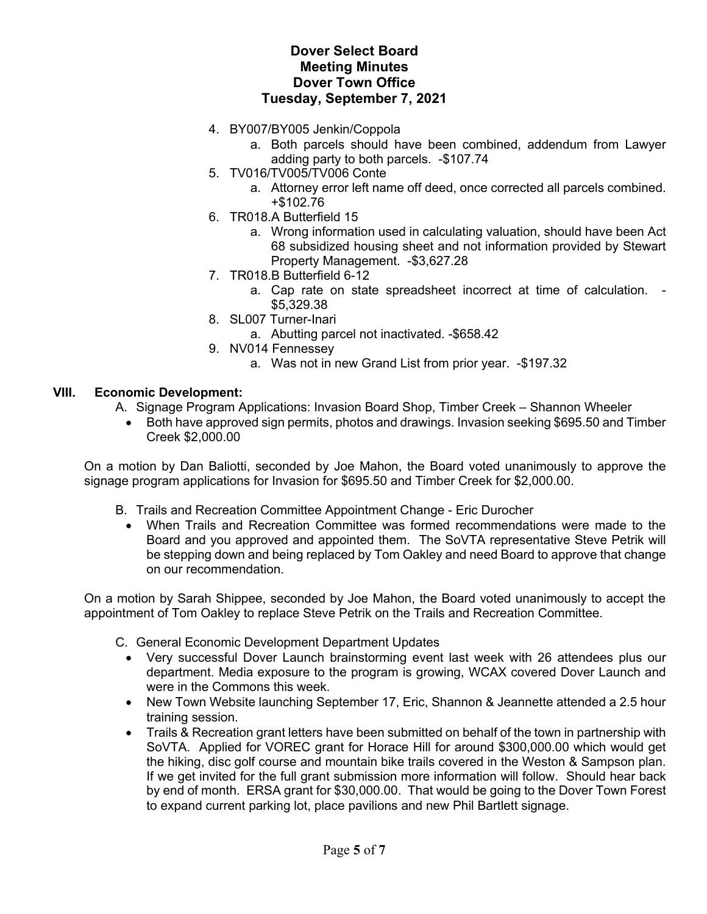- 4. BY007/BY005 Jenkin/Coppola
	- a. Both parcels should have been combined, addendum from Lawyer adding party to both parcels. -\$107.74
- 5. TV016/TV005/TV006 Conte
	- a. Attorney error left name off deed, once corrected all parcels combined. +\$102.76
- 6. TR018.A Butterfield 15
	- a. Wrong information used in calculating valuation, should have been Act 68 subsidized housing sheet and not information provided by Stewart Property Management. - \$3,627.28
- 7. TR018.B Butterfield 6-12
	- a. Cap rate on state spreadsheet incorrect at time of calculation. \$5,329.38
- 8. SL007 Turner-Inari
	- a. Abutting parcel not inactivated. -\$658.42
- 9. NV014 Fennessey
	- a. Was not in new Grand List from prior year. -\$197.32

#### **VIII. Economic Development:**

- A. Signage Program Applications: Invasion Board Shop, Timber Creek Shannon Wheeler
	- Both have approved sign permits, photos and drawings. Invasion seeking \$695.50 and Timber Creek \$2,000.00

On a motion by Dan Baliotti, seconded by Joe Mahon, the Board voted unanimously to approve the signage program applications for Invasion for \$695.50 and Timber Creek for \$2,000.00.

- B. Trails and Recreation Committee Appointment Change Eric Durocher
	- When Trails and Recreation Committee was formed recommendations were made to the Board and you approved and appointed them. The SoVTA representative Steve Petrik will be stepping down and being replaced by Tom Oakley and need Board to approve that change on our recommendation.

On a motion by Sarah Shippee, seconded by Joe Mahon, the Board voted unanimously to accept the appointment of Tom Oakley to replace Steve Petrik on the Trails and Recreation Committee.

- C. General Economic Development Department Updates
	- Very successful Dover Launch brainstorming event last week with 26 attendees plus our department. Media exposure to the program is growing, WCAX covered Dover Launch and were in the Commons this week.
	- New Town Website launching September 17, Eric, Shannon & Jeannette attended a 2.5 hour training session.
	- Trails & Recreation grant letters have been submitted on behalf of the town in partnership with SoVTA. Applied for VOREC grant for Horace Hill for around \$300,000.00 which would get the hiking, disc golf course and mountain bike trails covered in the Weston & Sampson plan. If we get invited for the full grant submission more information will follow. Should hear back by end of month. ERSA grant for \$30,000.00. That would be going to the Dover Town Forest to expand current parking lot, place pavilions and new Phil Bartlett signage.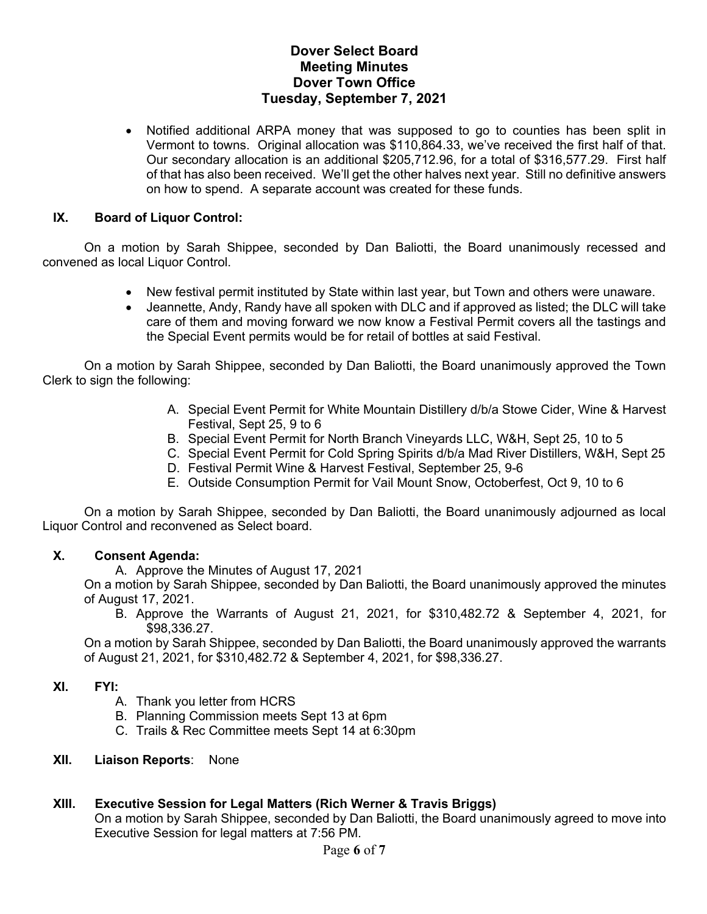• Notified additional ARPA money that was supposed to go to counties has been split in Vermont to towns. Original allocation was \$110,864.33, we've received the first half of that. Our secondary allocation is an additional \$205,712.96, for a total of \$316,577.29. First half of that has also been received. We'll get the other halves next year. Still no definitive answers on how to spend. A separate account was created for these funds.

### **IX. Board of Liquor Control:**

On a motion by Sarah Shippee, seconded by Dan Baliotti, the Board unanimously recessed and convened as local Liquor Control.

- New festival permit instituted by State within last year, but Town and others were unaware.
- Jeannette, Andy, Randy have all spoken with DLC and if approved as listed; the DLC will take care of them and moving forward we now know a Festival Permit covers all the tastings and the Special Event permits would be for retail of bottles at said Festival.

On a motion by Sarah Shippee, seconded by Dan Baliotti, the Board unanimously approved the Town Clerk to sign the following:

- A. Special Event Permit for White Mountain Distillery d/b/a Stowe Cider, Wine & Harvest Festival, Sept 25, 9 to 6
- B. Special Event Permit for North Branch Vineyards LLC, W&H, Sept 25, 10 to 5
- C. Special Event Permit for Cold Spring Spirits d/b/a Mad River Distillers, W&H, Sept 25
- D. Festival Permit Wine & Harvest Festival, September 25, 9-6
- E. Outside Consumption Permit for Vail Mount Snow, Octoberfest, Oct 9, 10 to 6

On a motion by Sarah Shippee, seconded by Dan Baliotti, the Board unanimously adjourned as local Liquor Control and reconvened as Select board.

### **X. Consent Agenda:**

A. Approve the Minutes of August 17, 2021

On a motion by Sarah Shippee, seconded by Dan Baliotti, the Board unanimously approved the minutes of August 17, 2021.

B. Approve the Warrants of August 21, 2021, for \$310,482.72 & September 4, 2021, for \$98,336.27.

On a motion by Sarah Shippee, seconded by Dan Baliotti, the Board unanimously approved the warrants of August 21, 2021, for \$310,482.72 & September 4, 2021, for \$98,336.27.

### **XI. FYI:**

- A. Thank you letter from HCRS
- B. Planning Commission meets Sept 13 at 6pm
- C. Trails & Rec Committee meets Sept 14 at 6:30pm
- **XII. Liaison Reports**: None

### **XIII. Executive Session for Legal Matters (Rich Werner & Travis Briggs)**

On a motion by Sarah Shippee, seconded by Dan Baliotti, the Board unanimously agreed to move into Executive Session for legal matters at 7:56 PM.